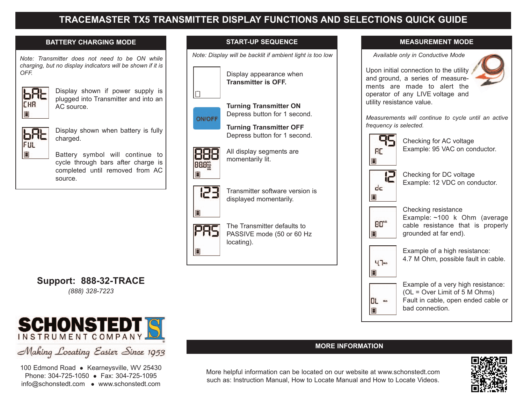# **TRACEMASTER TX5 TRANSMITTER DISPLAY FUNCTIONS AND SELECTIONS QUICK GUIDE**

**START-UP SEQUENCE**

### **BATTERY CHARGING MODE**

*Note: Transmitter does not need to be ON while charging, but no display indicators will be shown if it is OFF.*



Display shown if power supply is plugged into Transmitter and into an AC source.



Display shown when battery is fully charged.

Battery symbol will continue to cycle through bars after charge is completed until removed from AC source.







自

displayed momentarily.

momentarily lit.



The Transmitter defaults to PASSIVE mode (50 or 60 Hz locating).

Transmitter software version is



*Available only in Conductive Mode*



Upon initial connection to the utility and ground, a series of measurements are made to alert the operator of any LIVE voltage and utility resistance value.

*Measurements will continue to cycle until an active frequency is selected.*

Checking for AC voltage



Checking for DC voltage Example: 12 VDC on conductor.

Example: 95 VAC on conductor.

自

Checking resistance Example: ~100 k Ohm (average cable resistance that is properly grounded at far end).



OL MA 自

4.7 M Ohm, possible fault in cable. Example of a very high resistance:

Example of a high resistance:

(OL = Over Limit of 5 M Ohms) Fault in cable, open ended cable or bad connection.

### **MORE INFORMATION**



**Support: 888-32-TRACE** *(888) 328-7223*



Making Locating Easier Since 1953

100 Edmond Road • Kearneysville, WV 25430 Phone: 304-725-1050 • Fax: 304-725-1095 info@schonstedt.com • www.schonstedt.com

More helpful information can be located on our website at www.schonstedt.com such as: Instruction Manual, How to Locate Manual and How to Locate Videos.